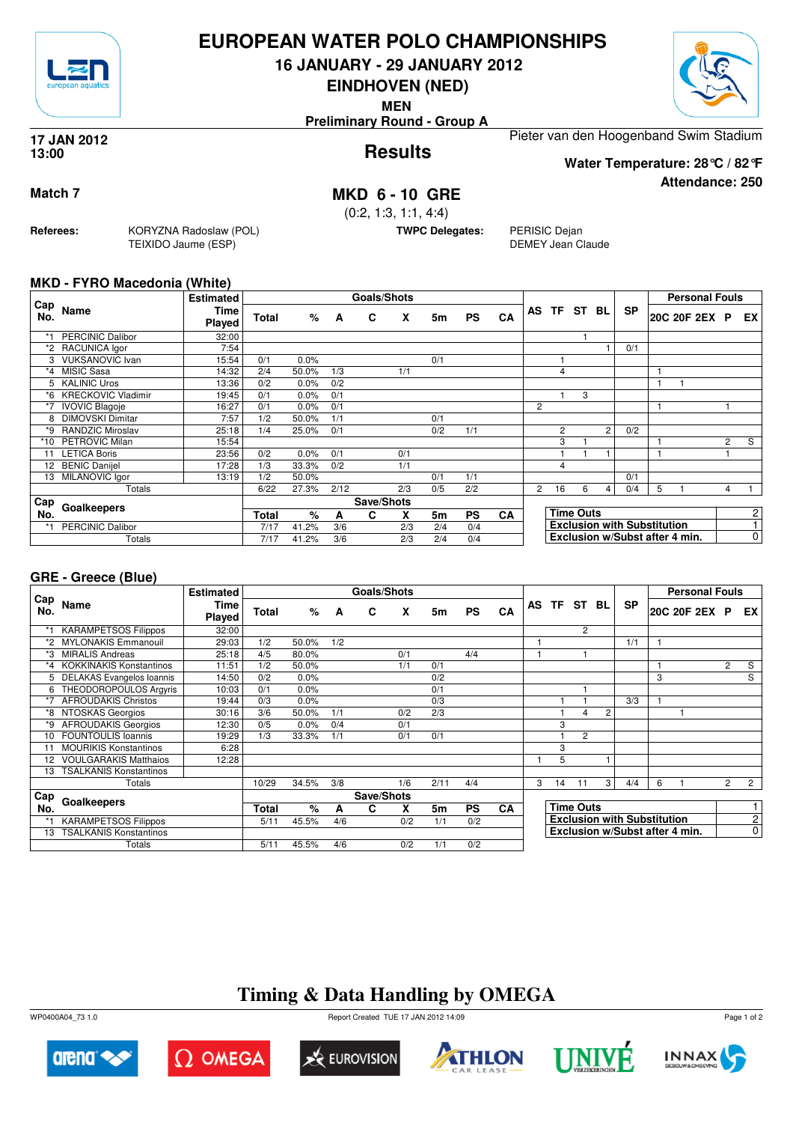

## **EUROPEAN WATER POLO CHAMPIONSHIPS**

**16 JANUARY - 29 JANUARY 2012**

**EINDHOVEN (NED)**

**MEN**

**Preliminary Round - Group A**

### **Results 17 JAN 2012 13:00**

Pieter van den Hoogenband Swim Stadium

**Attendance: 250 Water Temperature: 28°C / 82°F**

**Match 7 MKD 6 - 10 GRE**

(0:2, 1:3, 1:1, 4:4)

**TWPC Delegates:** PERISIC Dejan

DEMEY Jean Claude

## **MKD - FYRO Macedonia (White)**

**Referees:** KORYZNA Radoslaw (POL)

TEIXIDO Jaume (ESP)

|            |                           | <b>Estimated</b> |              |       |      | <b>Goals/Shots</b> |     |     |           |    |                |                |                  |    |                                    |   | <b>Personal Fouls</b>          |                |                |
|------------|---------------------------|------------------|--------------|-------|------|--------------------|-----|-----|-----------|----|----------------|----------------|------------------|----|------------------------------------|---|--------------------------------|----------------|----------------|
| Cap<br>No. | Name                      | Time<br>Played   | Total        | %     | A    | C                  | X   | 5m  | <b>PS</b> | CA | AS TF          |                | ST               | BL | <b>SP</b>                          |   | 20C 20F 2EX P                  |                | EX I           |
|            | <b>PERCINIC Dalibor</b>   | 32:00            |              |       |      |                    |     |     |           |    |                |                |                  |    |                                    |   |                                |                |                |
|            | *2 RACUNICA Igor          | 7:54             |              |       |      |                    |     |     |           |    |                |                |                  |    | 0/1                                |   |                                |                |                |
|            | 3 VUKSANOVIC Ivan         | 15:54            | 0/1          | 0.0%  |      |                    |     | 0/1 |           |    |                |                |                  |    |                                    |   |                                |                |                |
|            | *4 MISIC Sasa             | 14:32            | 2/4          | 50.0% | 1/3  |                    | 1/1 |     |           |    |                | 4              |                  |    |                                    |   |                                |                |                |
| 5.         | <b>KALINIC Uros</b>       | 13:36            | 0/2          | 0.0%  | 0/2  |                    |     |     |           |    |                |                |                  |    |                                    |   |                                |                |                |
| *6         | <b>KRECKOVIC Vladimir</b> | 19:45            | 0/1          | 0.0%  | 0/1  |                    |     |     |           |    |                |                | 3                |    |                                    |   |                                |                |                |
| $*7$       | <b>IVOVIC Blagoje</b>     | 16:27            | 0/1          | 0.0%  | 0/1  |                    |     |     |           |    | 2              |                |                  |    |                                    |   |                                |                |                |
| 8          | <b>DIMOVSKI Dimitar</b>   | 7:57             | 1/2          | 50.0% | 1/1  |                    |     | 0/1 |           |    |                |                |                  |    |                                    |   |                                |                |                |
| *9         | <b>RANDZIC Miroslav</b>   | 25:18            | 1/4          | 25.0% | 0/1  |                    |     | 0/2 | 1/1       |    |                | $\overline{2}$ |                  | 2  | 0/2                                |   |                                |                |                |
| $*10$      | PETROVIC Milan            | 15:54            |              |       |      |                    |     |     |           |    |                | 3              |                  |    |                                    |   |                                | $\overline{2}$ | S              |
| 11         | <b>LETICA Boris</b>       | 23:56            | 0/2          | 0.0%  | 0/1  |                    | 0/1 |     |           |    |                |                |                  |    |                                    |   |                                |                |                |
| 12         | <b>BENIC Danijel</b>      | 17:28            | 1/3          | 33.3% | 0/2  |                    | 1/1 |     |           |    |                | 4              |                  |    |                                    |   |                                |                |                |
| 13         | MILANOVIC Igor            | 13:19            | 1/2          | 50.0% |      |                    |     | 0/1 | 1/1       |    |                |                |                  |    | 0/1                                |   |                                |                |                |
|            | Totals                    |                  | 6/22         | 27.3% | 2/12 |                    | 2/3 | 0/5 | 2/2       |    | $\overline{c}$ | 16             | 6                | 4  | 0/4                                | 5 |                                | 4              |                |
| Cap        |                           |                  |              |       |      | Save/Shots         |     |     |           |    |                |                |                  |    |                                    |   |                                |                |                |
| No.        | Goalkeepers               |                  | <b>Total</b> | %     | A    | C                  | X   | 5m  | <b>PS</b> | CA |                |                | <b>Time Outs</b> |    |                                    |   |                                |                | 2              |
| $*1$       | <b>PERCINIC Dalibor</b>   |                  | 7/17         | 41.2% | 3/6  |                    | 2/3 | 2/4 | 0/4       |    |                |                |                  |    | <b>Exclusion with Substitution</b> |   |                                |                |                |
|            | Totals                    |                  | 7/17         | 41.2% | 3/6  |                    | 2/3 | 2/4 | 0/4       |    |                |                |                  |    |                                    |   | Exclusion w/Subst after 4 min. |                | $\overline{0}$ |

## **GRE - Greece (Blue)**

|            |                                | <b>Estimated</b> |       |       |     | <b>Goals/Shots</b> |     |      |           |           |    |     |                  |                |                                    |   | <b>Personal Fouls</b>          |                |                |
|------------|--------------------------------|------------------|-------|-------|-----|--------------------|-----|------|-----------|-----------|----|-----|------------------|----------------|------------------------------------|---|--------------------------------|----------------|----------------|
| Cap<br>No. | Name                           | Time<br>Played   | Total | %     | A   | C                  | x   | 5m   | <b>PS</b> | <b>CA</b> | AS | TF. | ST               | BL.            | <b>SP</b>                          |   | 20C 20F 2EX P                  |                | EX             |
|            | <b>KARAMPETSOS Filippos</b>    | 32:00            |       |       |     |                    |     |      |           |           |    |     | $\overline{2}$   |                |                                    |   |                                |                |                |
| *2         | <b>MYLONAKIS Emmanouil</b>     | 29:03            | 1/2   | 50.0% | 1/2 |                    |     |      |           |           |    |     |                  |                | 1/1                                |   |                                |                |                |
| *3         | <b>MIRALIS Andreas</b>         | 25:18            | 4/5   | 80.0% |     |                    | 0/1 |      | 4/4       |           |    |     |                  |                |                                    |   |                                |                |                |
| *4         | <b>KOKKINAKIS Konstantinos</b> | 11:51            | 1/2   | 50.0% |     |                    | 1/1 | 0/1  |           |           |    |     |                  |                |                                    |   |                                | $\overline{2}$ | S              |
|            | DELAKAS Evangelos Ioannis      | 14:50            | 0/2   | 0.0%  |     |                    |     | 0/2  |           |           |    |     |                  |                |                                    | 3 |                                |                | S              |
| 6          | THEODOROPOULOS Argyris         | 10:03            | 0/1   | 0.0%  |     |                    |     | 0/1  |           |           |    |     |                  |                |                                    |   |                                |                |                |
| *7         | <b>AFROUDAKIS Christos</b>     | 19:44            | 0/3   | 0.0%  |     |                    |     | 0/3  |           |           |    |     |                  |                | 3/3                                |   |                                |                |                |
| *8         | NTOSKAS Georgios               | 30:16            | 3/6   | 50.0% | 1/1 |                    | 0/2 | 2/3  |           |           |    |     | 4                | $\overline{2}$ |                                    |   |                                |                |                |
| *9         | <b>AFROUDAKIS Georgios</b>     | 12:30            | 0/5   | 0.0%  | 0/4 |                    | 0/1 |      |           |           |    | 3   |                  |                |                                    |   |                                |                |                |
| 10         | <b>FOUNTOULIS Ioannis</b>      | 19:29            | 1/3   | 33.3% | 1/1 |                    | 0/1 | 0/1  |           |           |    |     | $\overline{2}$   |                |                                    |   |                                |                |                |
|            | <b>MOURIKIS Konstantinos</b>   | 6:28             |       |       |     |                    |     |      |           |           |    | 3   |                  |                |                                    |   |                                |                |                |
| 12         | <b>VOULGARAKIS Matthaios</b>   | 12:28            |       |       |     |                    |     |      |           |           |    | 5   |                  |                |                                    |   |                                |                |                |
| 13         | TSALKANIS Konstantinos         |                  |       |       |     |                    |     |      |           |           |    |     |                  |                |                                    |   |                                |                |                |
|            | Totals                         |                  | 10/29 | 34.5% | 3/8 |                    | 1/6 | 2/11 | 4/4       |           | 3  | 14  | 11               | 3              | 4/4                                | 6 |                                | $\overline{2}$ | $\overline{2}$ |
| Cap        |                                |                  |       |       |     | Save/Shots         |     |      |           |           |    |     |                  |                |                                    |   |                                |                |                |
|            | Goalkeepers<br>No.             |                  |       | $\%$  | A   | C                  | X   | 5m   | <b>PS</b> | <b>CA</b> |    |     | <b>Time Outs</b> |                |                                    |   |                                |                | $\mathbf{1}$   |
|            | <b>KARAMPETSOS Filippos</b>    |                  | 5/11  | 45.5% | 4/6 |                    | 0/2 | 1/1  | 0/2       |           |    |     |                  |                | <b>Exclusion with Substitution</b> |   |                                |                | $\overline{2}$ |
| 13         | <b>TSALKANIS Konstantinos</b>  |                  |       |       |     |                    |     |      |           |           |    |     |                  |                |                                    |   | Exclusion w/Subst after 4 min. |                | $\mathbf 0$    |
|            | Totals                         |                  | 5/11  | 45.5% | 4/6 |                    | 0/2 | 1/1  | 0/2       |           |    |     |                  |                |                                    |   |                                |                |                |

# **Timing & Data Handling by OMEGA**

WP0400A04\_73 1.0 Report Created TUE 17 JAN 2012 14:09